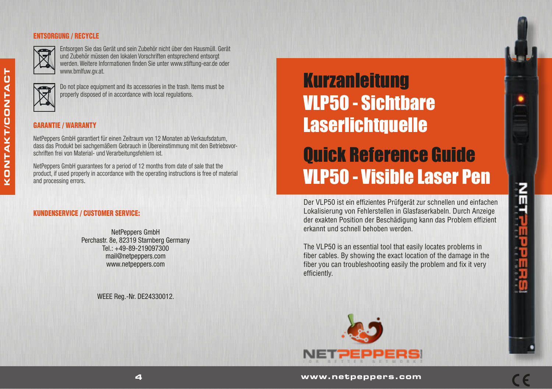### ENTSORGUNG / RECYCLE



Entsorgen Sie das Gerät und sein Zubehör nicht über den Hausmüll. Gerät und Zubehör müssen den lokalen Vorschriften entsprechend entsorgt werden. Weitere Informationen finden Sie unter www.stiftung-ear.de oder www.bmlfuw.gv.at.



**KONTAKT/CONTACT**

NTAKT/CONTA

ō Σ

b

Do not place equipment and its accessories in the trash. Items must be properly disposed of in accordance with local regulations.

## GARANTIE / WARRANTY

NetPeppers GmbH garantiert für einen Zeitraum von 12 Monaten ab Verkaufsdatum, dass das Produkt bei sachgemäßem Gebrauch in Übereinstimmung mit den Betriebsvorschriften frei von Material- und Verarbeitungsfehlern ist.

NetPeppers GmbH guarantees for a period of 12 months from date of sale that the product, if used properly in accordance with the operating instructions is free of material and processing errors.

#### KUNDENSERVICE / CUSTOMER SERVICE:

NetPeppers GmbH Perchastr. 8e, 82319 Starnberg Germany  $Tel + 49-89-219097300$ mail@netpeppers.com www.netpeppers.com

WEEE Reg.-Nr. DE24330012.

# **Kurzanleitung** VLP50 - Sichtbare **Laserlichtquelle**

Quick Reference Guide VLP50 - Visible Laser Pen

Der VLP50 ist ein effizientes Prüfgerät zur schnellen und einfachen Lokalisierung von Fehlerstellen in Glasfaserkabeln. Durch Anzeige der exakten Position der Beschädigung kann das Problem effizient erkannt und schnell behoben werden.

The VLP50 is an essential tool that easily locates problems in fiber cables. By showing the exact location of the damage in the fiber you can troubleshooting easily the problem and fix it very efficiently.



Gebrauchsanleitung